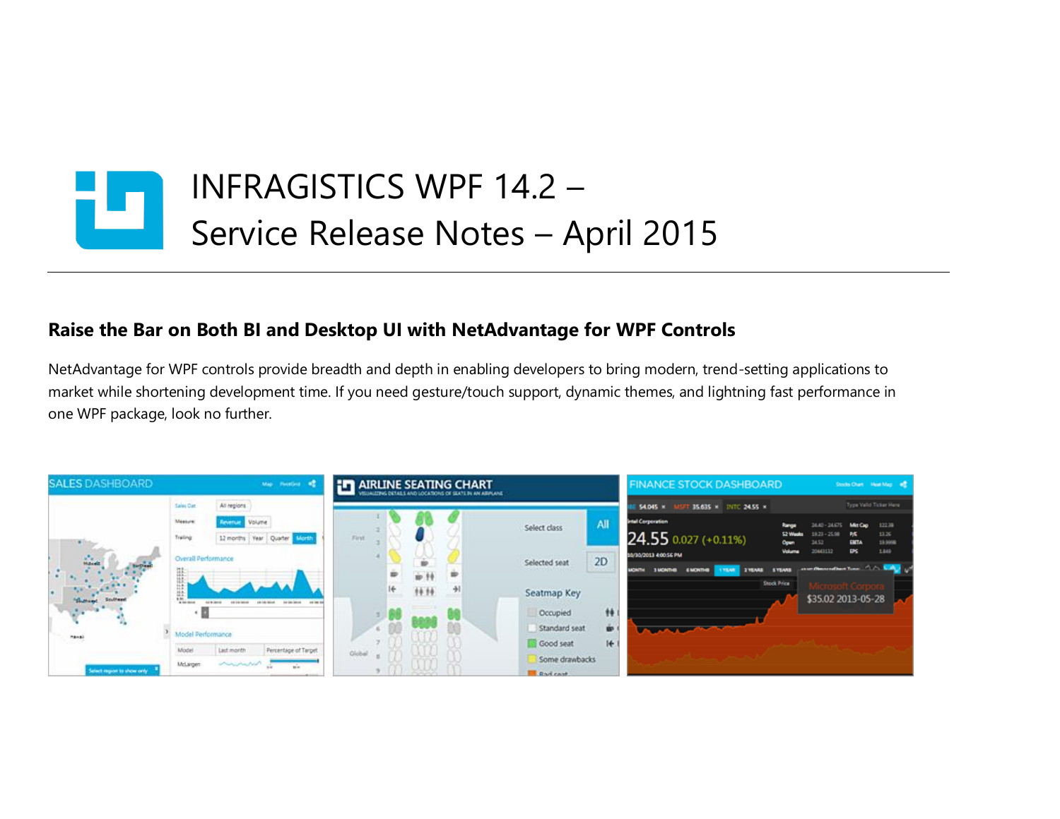

## **Raise the Bar on Both BI and Desktop UI with NetAdvantage for WPF Controls**

NetAdvantage for WPF controls provide breadth and depth in enabling developers to bring modern, trend-setting applications to market while shortening development time. If you need gesture/touch support, dynamic themes, and lightning fast performance in one WPF package, look no further.

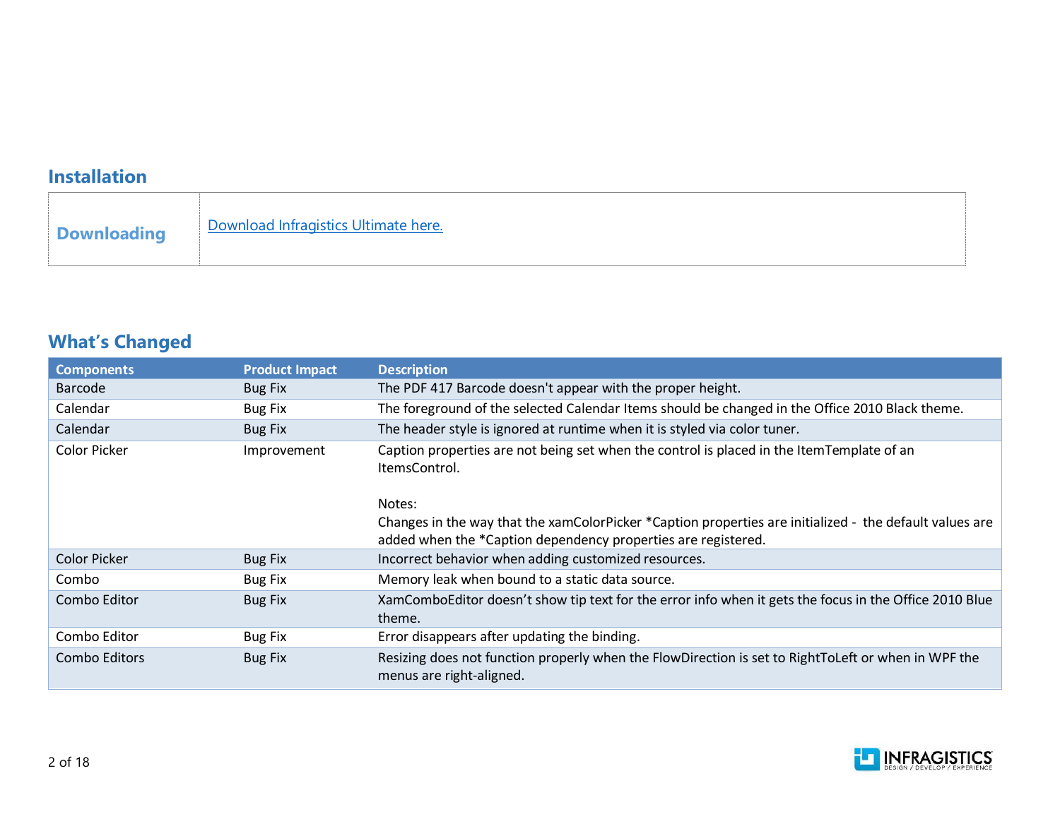## **Installation**

## **What's Changed**

| <b>Components</b>    | <b>Product Impact</b> | <b>Description</b>                                                                                                                                                       |
|----------------------|-----------------------|--------------------------------------------------------------------------------------------------------------------------------------------------------------------------|
| Barcode              | <b>Bug Fix</b>        | The PDF 417 Barcode doesn't appear with the proper height.                                                                                                               |
| Calendar             | <b>Bug Fix</b>        | The foreground of the selected Calendar Items should be changed in the Office 2010 Black theme.                                                                          |
| Calendar             | <b>Bug Fix</b>        | The header style is ignored at runtime when it is styled via color tuner.                                                                                                |
| Color Picker         | Improvement           | Caption properties are not being set when the control is placed in the ItemTemplate of an<br>ItemsControl.                                                               |
|                      |                       | Notes:                                                                                                                                                                   |
|                      |                       | Changes in the way that the xamColorPicker *Caption properties are initialized - the default values are<br>added when the *Caption dependency properties are registered. |
| <b>Color Picker</b>  | <b>Bug Fix</b>        | Incorrect behavior when adding customized resources.                                                                                                                     |
| Combo                | <b>Bug Fix</b>        | Memory leak when bound to a static data source.                                                                                                                          |
| Combo Editor         | <b>Bug Fix</b>        | XamComboEditor doesn't show tip text for the error info when it gets the focus in the Office 2010 Blue<br>theme.                                                         |
| Combo Editor         | Bug Fix               | Error disappears after updating the binding.                                                                                                                             |
| <b>Combo Editors</b> | <b>Bug Fix</b>        | Resizing does not function properly when the FlowDirection is set to RightToLeft or when in WPF the<br>menus are right-aligned.                                          |

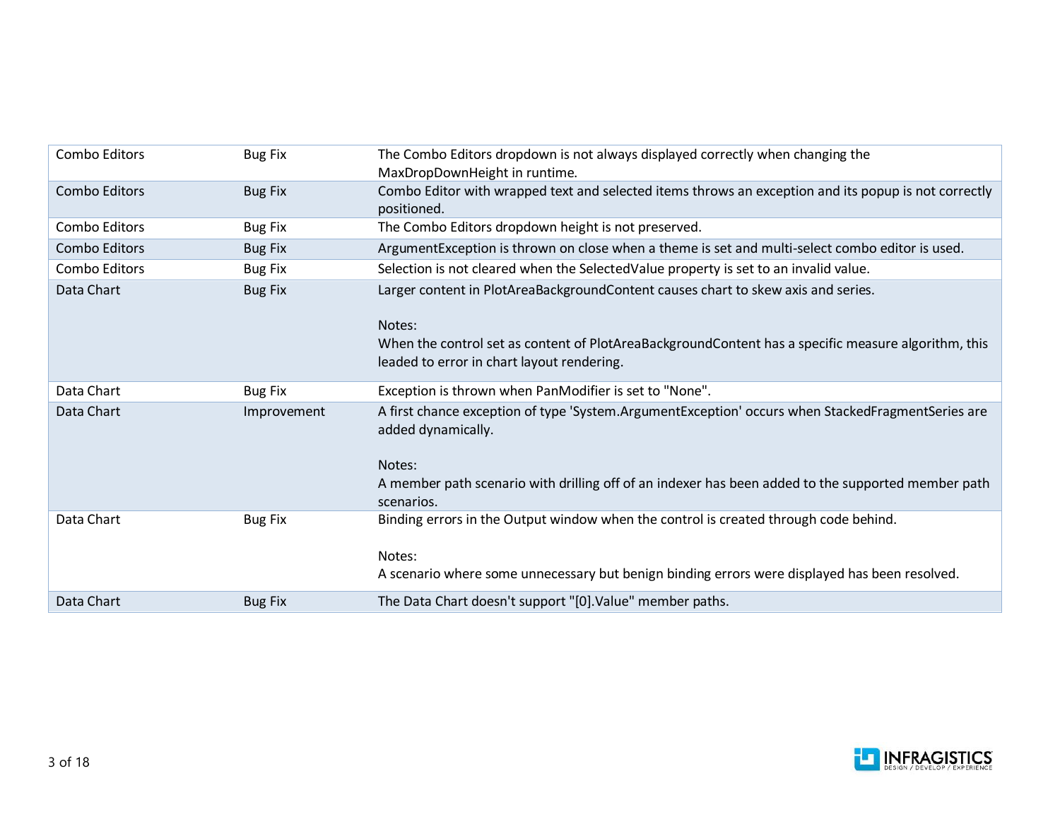| Combo Editors        | <b>Bug Fix</b> | The Combo Editors dropdown is not always displayed correctly when changing the<br>MaxDropDownHeight in runtime.                                                                                                                                       |
|----------------------|----------------|-------------------------------------------------------------------------------------------------------------------------------------------------------------------------------------------------------------------------------------------------------|
| <b>Combo Editors</b> | <b>Bug Fix</b> | Combo Editor with wrapped text and selected items throws an exception and its popup is not correctly<br>positioned.                                                                                                                                   |
| Combo Editors        | <b>Bug Fix</b> | The Combo Editors dropdown height is not preserved.                                                                                                                                                                                                   |
| Combo Editors        | <b>Bug Fix</b> | ArgumentException is thrown on close when a theme is set and multi-select combo editor is used.                                                                                                                                                       |
| Combo Editors        | <b>Bug Fix</b> | Selection is not cleared when the SelectedValue property is set to an invalid value.                                                                                                                                                                  |
| Data Chart           | <b>Bug Fix</b> | Larger content in PlotAreaBackgroundContent causes chart to skew axis and series.<br>Notes:<br>When the control set as content of PlotAreaBackgroundContent has a specific measure algorithm, this<br>leaded to error in chart layout rendering.      |
| Data Chart           | <b>Bug Fix</b> | Exception is thrown when PanModifier is set to "None".                                                                                                                                                                                                |
| Data Chart           |                |                                                                                                                                                                                                                                                       |
|                      | Improvement    | A first chance exception of type 'System.ArgumentException' occurs when StackedFragmentSeries are<br>added dynamically.<br>Notes:<br>A member path scenario with drilling off of an indexer has been added to the supported member path<br>scenarios. |
| Data Chart           | <b>Bug Fix</b> | Binding errors in the Output window when the control is created through code behind.<br>Notes:<br>A scenario where some unnecessary but benign binding errors were displayed has been resolved.                                                       |

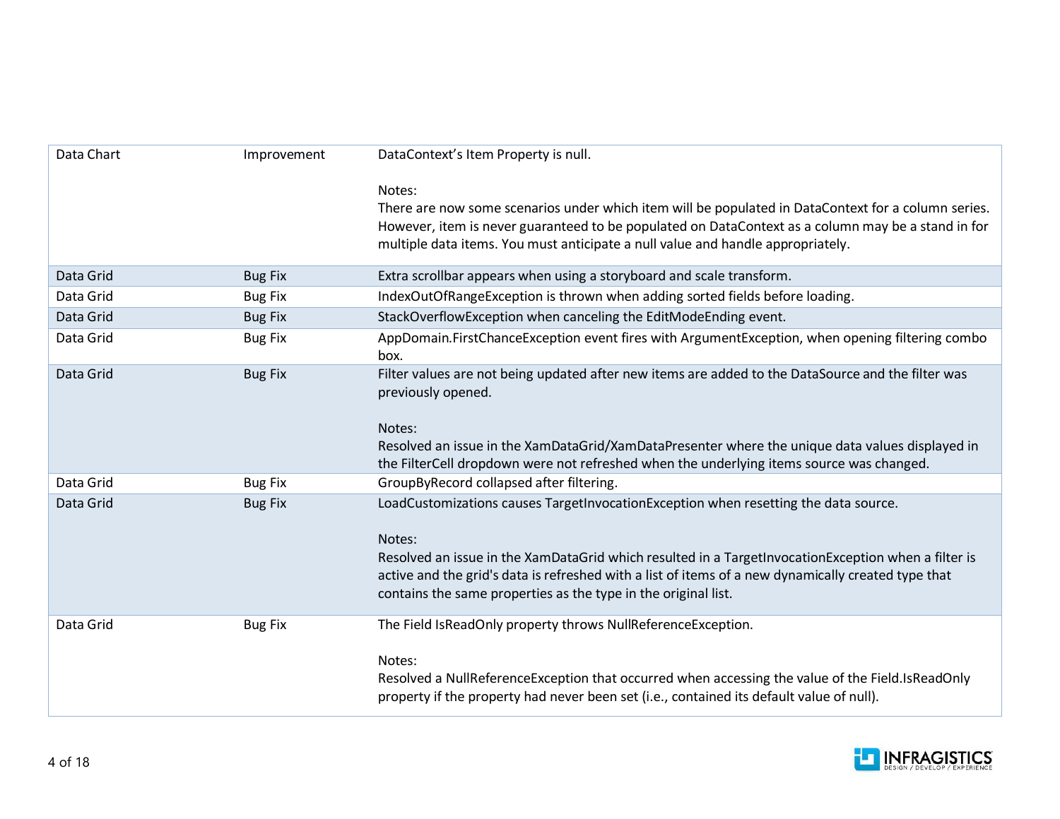| Data Chart | Improvement    | DataContext's Item Property is null.                                                                                                                                                                                                                                                                                                                                          |
|------------|----------------|-------------------------------------------------------------------------------------------------------------------------------------------------------------------------------------------------------------------------------------------------------------------------------------------------------------------------------------------------------------------------------|
|            |                | Notes:<br>There are now some scenarios under which item will be populated in DataContext for a column series.<br>However, item is never guaranteed to be populated on DataContext as a column may be a stand in for<br>multiple data items. You must anticipate a null value and handle appropriately.                                                                        |
| Data Grid  | <b>Bug Fix</b> | Extra scrollbar appears when using a storyboard and scale transform.                                                                                                                                                                                                                                                                                                          |
| Data Grid  | <b>Bug Fix</b> | IndexOutOfRangeException is thrown when adding sorted fields before loading.                                                                                                                                                                                                                                                                                                  |
| Data Grid  | <b>Bug Fix</b> | StackOverflowException when canceling the EditModeEnding event.                                                                                                                                                                                                                                                                                                               |
| Data Grid  | <b>Bug Fix</b> | AppDomain.FirstChanceException event fires with ArgumentException, when opening filtering combo<br>box.                                                                                                                                                                                                                                                                       |
| Data Grid  | <b>Bug Fix</b> | Filter values are not being updated after new items are added to the DataSource and the filter was<br>previously opened.<br>Notes:<br>Resolved an issue in the XamDataGrid/XamDataPresenter where the unique data values displayed in<br>the FilterCell dropdown were not refreshed when the underlying items source was changed.                                             |
| Data Grid  | <b>Bug Fix</b> | GroupByRecord collapsed after filtering.                                                                                                                                                                                                                                                                                                                                      |
| Data Grid  | <b>Bug Fix</b> | LoadCustomizations causes TargetInvocationException when resetting the data source.<br>Notes:<br>Resolved an issue in the XamDataGrid which resulted in a TargetInvocationException when a filter is<br>active and the grid's data is refreshed with a list of items of a new dynamically created type that<br>contains the same properties as the type in the original list. |
| Data Grid  | <b>Bug Fix</b> | The Field IsReadOnly property throws NullReferenceException.<br>Notes:<br>Resolved a NullReferenceException that occurred when accessing the value of the Field.IsReadOnly<br>property if the property had never been set (i.e., contained its default value of null).                                                                                                        |

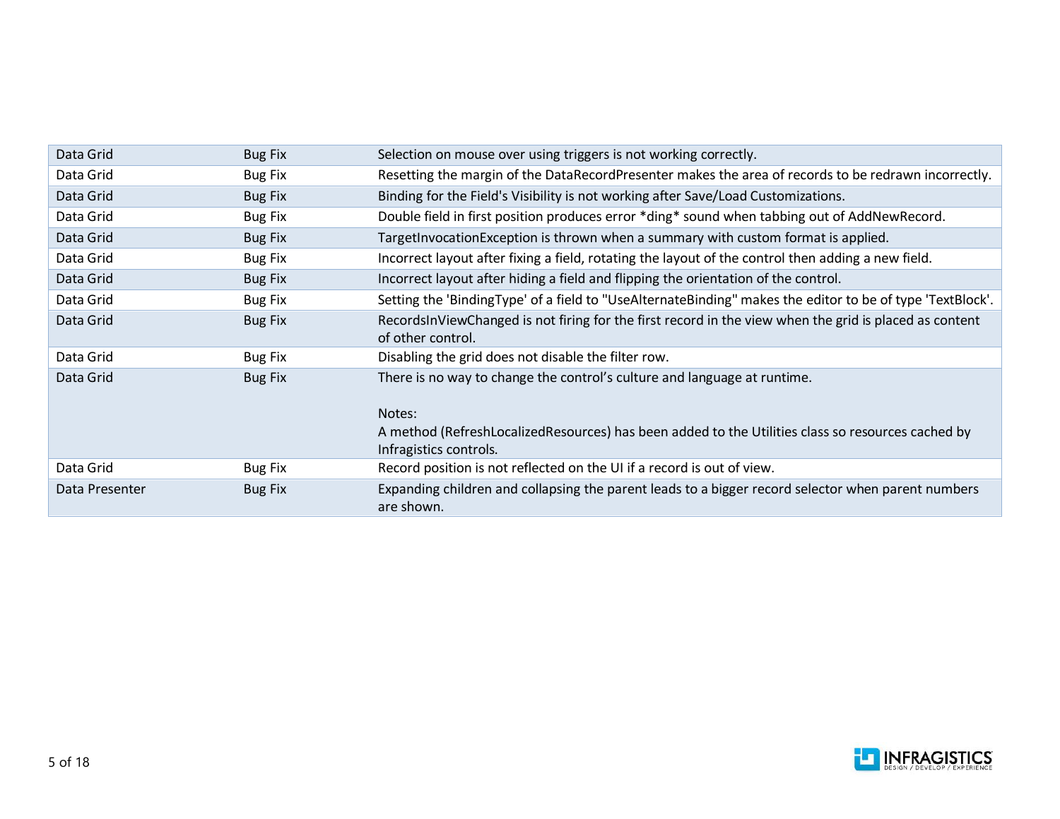| Data Grid      | <b>Bug Fix</b> | Selection on mouse over using triggers is not working correctly.                                                                                                                                                  |
|----------------|----------------|-------------------------------------------------------------------------------------------------------------------------------------------------------------------------------------------------------------------|
| Data Grid      | <b>Bug Fix</b> | Resetting the margin of the DataRecordPresenter makes the area of records to be redrawn incorrectly.                                                                                                              |
| Data Grid      | <b>Bug Fix</b> | Binding for the Field's Visibility is not working after Save/Load Customizations.                                                                                                                                 |
| Data Grid      | <b>Bug Fix</b> | Double field in first position produces error *ding* sound when tabbing out of AddNewRecord.                                                                                                                      |
| Data Grid      | <b>Bug Fix</b> | TargetInvocationException is thrown when a summary with custom format is applied.                                                                                                                                 |
| Data Grid      | <b>Bug Fix</b> | Incorrect layout after fixing a field, rotating the layout of the control then adding a new field.                                                                                                                |
| Data Grid      | <b>Bug Fix</b> | Incorrect layout after hiding a field and flipping the orientation of the control.                                                                                                                                |
| Data Grid      | <b>Bug Fix</b> | Setting the 'BindingType' of a field to "UseAlternateBinding" makes the editor to be of type 'TextBlock'.                                                                                                         |
| Data Grid      | <b>Bug Fix</b> | RecordsInViewChanged is not firing for the first record in the view when the grid is placed as content<br>of other control.                                                                                       |
| Data Grid      | <b>Bug Fix</b> | Disabling the grid does not disable the filter row.                                                                                                                                                               |
| Data Grid      | <b>Bug Fix</b> | There is no way to change the control's culture and language at runtime.<br>Notes:<br>A method (RefreshLocalizedResources) has been added to the Utilities class so resources cached by<br>Infragistics controls. |
| Data Grid      | <b>Bug Fix</b> | Record position is not reflected on the UI if a record is out of view.                                                                                                                                            |
| Data Presenter | <b>Bug Fix</b> | Expanding children and collapsing the parent leads to a bigger record selector when parent numbers<br>are shown.                                                                                                  |

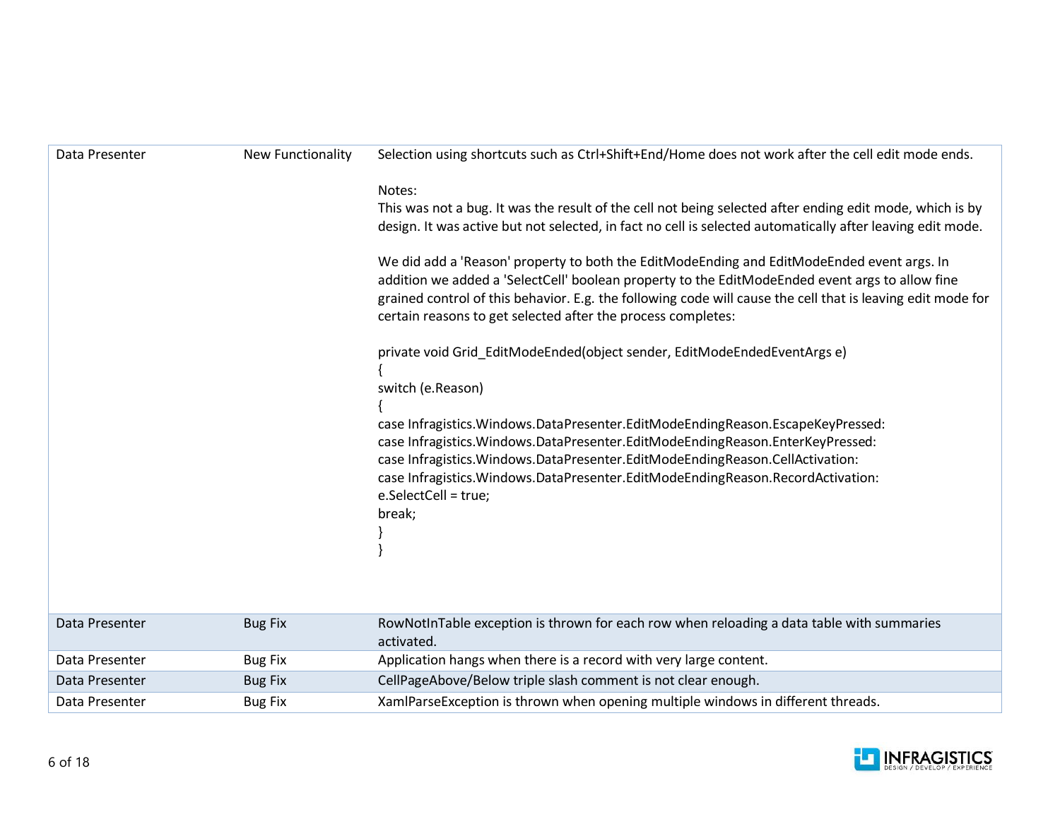| Data Presenter | New Functionality | Selection using shortcuts such as Ctrl+Shift+End/Home does not work after the cell edit mode ends.                                                                                                                                                                                                                                                                           |
|----------------|-------------------|------------------------------------------------------------------------------------------------------------------------------------------------------------------------------------------------------------------------------------------------------------------------------------------------------------------------------------------------------------------------------|
|                |                   | Notes:<br>This was not a bug. It was the result of the cell not being selected after ending edit mode, which is by                                                                                                                                                                                                                                                           |
|                |                   | design. It was active but not selected, in fact no cell is selected automatically after leaving edit mode.                                                                                                                                                                                                                                                                   |
|                |                   | We did add a 'Reason' property to both the EditModeEnding and EditModeEnded event args. In<br>addition we added a 'SelectCell' boolean property to the EditModeEnded event args to allow fine<br>grained control of this behavior. E.g. the following code will cause the cell that is leaving edit mode for<br>certain reasons to get selected after the process completes: |
|                |                   | private void Grid EditModeEnded(object sender, EditModeEndedEventArgs e)<br>switch (e.Reason)                                                                                                                                                                                                                                                                                |
|                |                   | case Infragistics. Windows. DataPresenter. EditModeEndingReason. EscapeKeyPressed:                                                                                                                                                                                                                                                                                           |
|                |                   | case Infragistics. Windows. DataPresenter. EditModeEndingReason. EnterKeyPressed:                                                                                                                                                                                                                                                                                            |
|                |                   | case Infragistics. Windows. DataPresenter. EditModeEndingReason. CellActivation:<br>case Infragistics.Windows.DataPresenter.EditModeEndingReason.RecordActivation:                                                                                                                                                                                                           |
|                |                   | e.SelectCell = true;                                                                                                                                                                                                                                                                                                                                                         |
|                |                   | break;                                                                                                                                                                                                                                                                                                                                                                       |
|                |                   |                                                                                                                                                                                                                                                                                                                                                                              |
|                |                   |                                                                                                                                                                                                                                                                                                                                                                              |
| Data Presenter | <b>Bug Fix</b>    | RowNotInTable exception is thrown for each row when reloading a data table with summaries<br>activated.                                                                                                                                                                                                                                                                      |
| Data Presenter | <b>Bug Fix</b>    | Application hangs when there is a record with very large content.                                                                                                                                                                                                                                                                                                            |



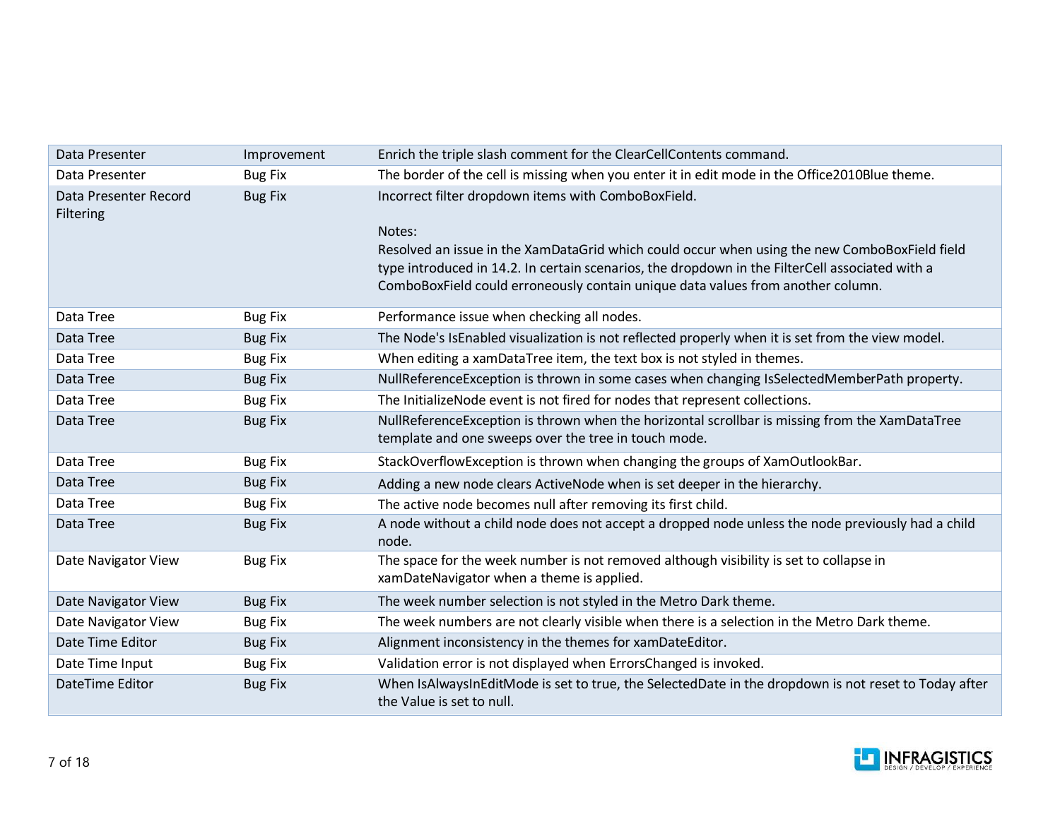| Data Presenter                            | Improvement    | Enrich the triple slash comment for the ClearCellContents command.                                                                                                                                                                                                                                                                                   |
|-------------------------------------------|----------------|------------------------------------------------------------------------------------------------------------------------------------------------------------------------------------------------------------------------------------------------------------------------------------------------------------------------------------------------------|
| Data Presenter                            | <b>Bug Fix</b> | The border of the cell is missing when you enter it in edit mode in the Office2010Blue theme.                                                                                                                                                                                                                                                        |
| Data Presenter Record<br><b>Filtering</b> | <b>Bug Fix</b> | Incorrect filter dropdown items with ComboBoxField.<br>Notes:<br>Resolved an issue in the XamDataGrid which could occur when using the new ComboBoxField field<br>type introduced in 14.2. In certain scenarios, the dropdown in the FilterCell associated with a<br>ComboBoxField could erroneously contain unique data values from another column. |
| Data Tree                                 | <b>Bug Fix</b> | Performance issue when checking all nodes.                                                                                                                                                                                                                                                                                                           |
| Data Tree                                 | <b>Bug Fix</b> | The Node's IsEnabled visualization is not reflected properly when it is set from the view model.                                                                                                                                                                                                                                                     |
| Data Tree                                 | <b>Bug Fix</b> | When editing a xamDataTree item, the text box is not styled in themes.                                                                                                                                                                                                                                                                               |
| Data Tree                                 | <b>Bug Fix</b> | NullReferenceException is thrown in some cases when changing IsSelectedMemberPath property.                                                                                                                                                                                                                                                          |
| Data Tree                                 | <b>Bug Fix</b> | The InitializeNode event is not fired for nodes that represent collections.                                                                                                                                                                                                                                                                          |
| Data Tree                                 | <b>Bug Fix</b> | NullReferenceException is thrown when the horizontal scrollbar is missing from the XamDataTree<br>template and one sweeps over the tree in touch mode.                                                                                                                                                                                               |
| Data Tree                                 | <b>Bug Fix</b> | StackOverflowException is thrown when changing the groups of XamOutlookBar.                                                                                                                                                                                                                                                                          |
| Data Tree                                 | <b>Bug Fix</b> | Adding a new node clears ActiveNode when is set deeper in the hierarchy.                                                                                                                                                                                                                                                                             |
| Data Tree                                 | <b>Bug Fix</b> | The active node becomes null after removing its first child.                                                                                                                                                                                                                                                                                         |
| Data Tree                                 | <b>Bug Fix</b> | A node without a child node does not accept a dropped node unless the node previously had a child<br>node.                                                                                                                                                                                                                                           |
| Date Navigator View                       | <b>Bug Fix</b> | The space for the week number is not removed although visibility is set to collapse in<br>xamDateNavigator when a theme is applied.                                                                                                                                                                                                                  |
| Date Navigator View                       | <b>Bug Fix</b> | The week number selection is not styled in the Metro Dark theme.                                                                                                                                                                                                                                                                                     |
| Date Navigator View                       | <b>Bug Fix</b> | The week numbers are not clearly visible when there is a selection in the Metro Dark theme.                                                                                                                                                                                                                                                          |
| Date Time Editor                          | <b>Bug Fix</b> | Alignment inconsistency in the themes for xamDateEditor.                                                                                                                                                                                                                                                                                             |
| Date Time Input                           | <b>Bug Fix</b> | Validation error is not displayed when ErrorsChanged is invoked.                                                                                                                                                                                                                                                                                     |
| DateTime Editor                           | <b>Bug Fix</b> | When IsAlwaysInEditMode is set to true, the SelectedDate in the dropdown is not reset to Today after<br>the Value is set to null.                                                                                                                                                                                                                    |

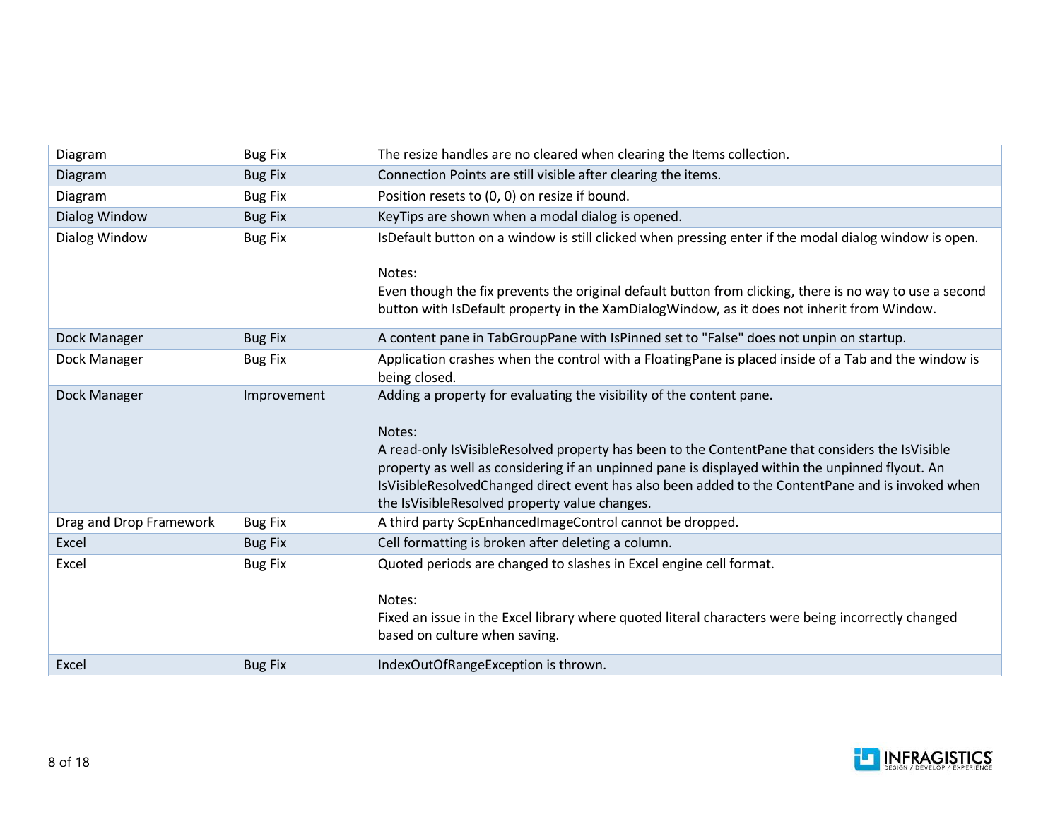| Diagram                 | <b>Bug Fix</b> | The resize handles are no cleared when clearing the Items collection.                                                                                                                                                                                                                                                                                                                                                                     |
|-------------------------|----------------|-------------------------------------------------------------------------------------------------------------------------------------------------------------------------------------------------------------------------------------------------------------------------------------------------------------------------------------------------------------------------------------------------------------------------------------------|
| Diagram                 | <b>Bug Fix</b> | Connection Points are still visible after clearing the items.                                                                                                                                                                                                                                                                                                                                                                             |
| Diagram                 | <b>Bug Fix</b> | Position resets to (0, 0) on resize if bound.                                                                                                                                                                                                                                                                                                                                                                                             |
| Dialog Window           | <b>Bug Fix</b> | KeyTips are shown when a modal dialog is opened.                                                                                                                                                                                                                                                                                                                                                                                          |
| Dialog Window           | <b>Bug Fix</b> | IsDefault button on a window is still clicked when pressing enter if the modal dialog window is open.                                                                                                                                                                                                                                                                                                                                     |
|                         |                | Notes:<br>Even though the fix prevents the original default button from clicking, there is no way to use a second<br>button with IsDefault property in the XamDialogWindow, as it does not inherit from Window.                                                                                                                                                                                                                           |
| Dock Manager            | <b>Bug Fix</b> | A content pane in TabGroupPane with IsPinned set to "False" does not unpin on startup.                                                                                                                                                                                                                                                                                                                                                    |
| Dock Manager            | <b>Bug Fix</b> | Application crashes when the control with a FloatingPane is placed inside of a Tab and the window is<br>being closed.                                                                                                                                                                                                                                                                                                                     |
| Dock Manager            | Improvement    | Adding a property for evaluating the visibility of the content pane.<br>Notes:<br>A read-only IsVisibleResolved property has been to the ContentPane that considers the IsVisible<br>property as well as considering if an unpinned pane is displayed within the unpinned flyout. An<br>IsVisibleResolvedChanged direct event has also been added to the ContentPane and is invoked when<br>the IsVisibleResolved property value changes. |
| Drag and Drop Framework | <b>Bug Fix</b> | A third party ScpEnhancedImageControl cannot be dropped.                                                                                                                                                                                                                                                                                                                                                                                  |
| Excel                   | <b>Bug Fix</b> | Cell formatting is broken after deleting a column.                                                                                                                                                                                                                                                                                                                                                                                        |
| Excel                   | <b>Bug Fix</b> | Quoted periods are changed to slashes in Excel engine cell format.<br>Notes:<br>Fixed an issue in the Excel library where quoted literal characters were being incorrectly changed<br>based on culture when saving.                                                                                                                                                                                                                       |
| Excel                   | <b>Bug Fix</b> | IndexOutOfRangeException is thrown.                                                                                                                                                                                                                                                                                                                                                                                                       |

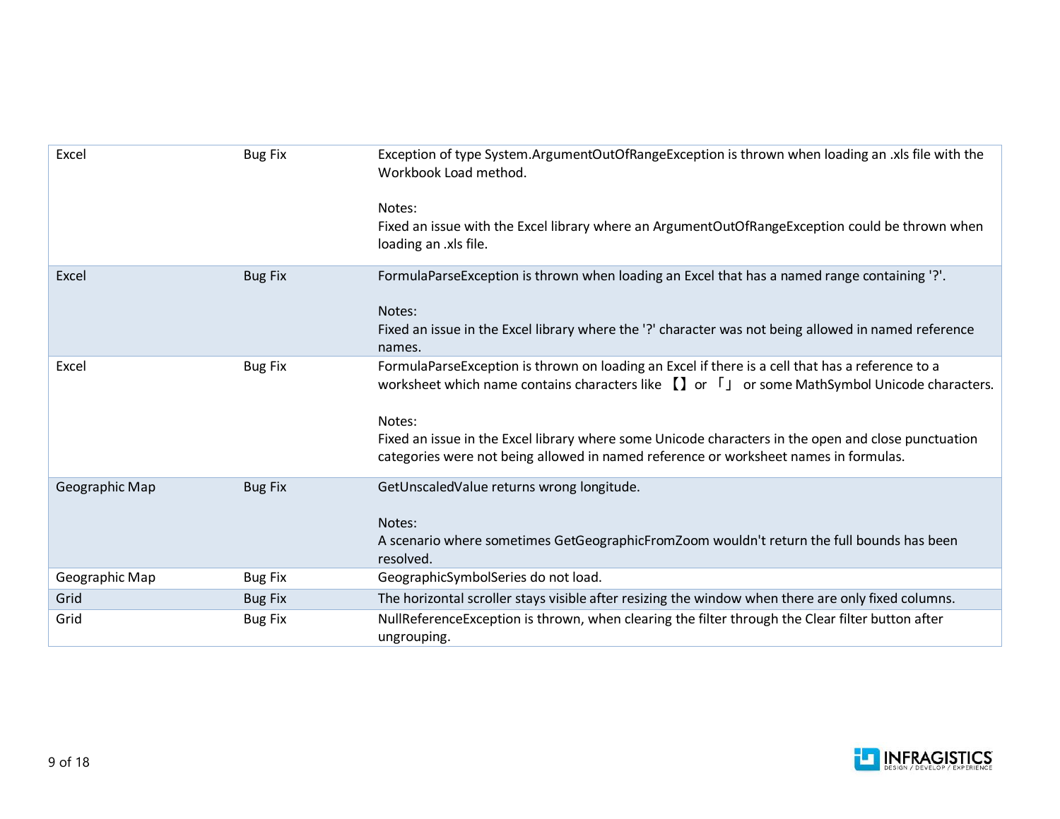| Excel          | <b>Bug Fix</b> | Exception of type System.ArgumentOutOfRangeException is thrown when loading an .xls file with the<br>Workbook Load method.                                                                                   |
|----------------|----------------|--------------------------------------------------------------------------------------------------------------------------------------------------------------------------------------------------------------|
|                |                | Notes:<br>Fixed an issue with the Excel library where an ArgumentOutOfRangeException could be thrown when<br>loading an .xls file.                                                                           |
| Excel          | <b>Bug Fix</b> | FormulaParseException is thrown when loading an Excel that has a named range containing '?'.                                                                                                                 |
|                |                | Notes:<br>Fixed an issue in the Excel library where the '?' character was not being allowed in named reference<br>names.                                                                                     |
| Excel          | <b>Bug Fix</b> | FormulaParseException is thrown on loading an Excel if there is a cell that has a reference to a<br>worksheet which name contains characters like $\prod$ or $\lceil$ or some MathSymbol Unicode characters. |
|                |                | Notes:<br>Fixed an issue in the Excel library where some Unicode characters in the open and close punctuation<br>categories were not being allowed in named reference or worksheet names in formulas.        |
| Geographic Map | <b>Bug Fix</b> | GetUnscaledValue returns wrong longitude.                                                                                                                                                                    |
|                |                | Notes:<br>A scenario where sometimes GetGeographicFromZoom wouldn't return the full bounds has been<br>resolved.                                                                                             |
| Geographic Map | <b>Bug Fix</b> | GeographicSymbolSeries do not load.                                                                                                                                                                          |
| Grid           | <b>Bug Fix</b> | The horizontal scroller stays visible after resizing the window when there are only fixed columns.                                                                                                           |
| Grid           | <b>Bug Fix</b> | NullReferenceException is thrown, when clearing the filter through the Clear filter button after<br>ungrouping.                                                                                              |

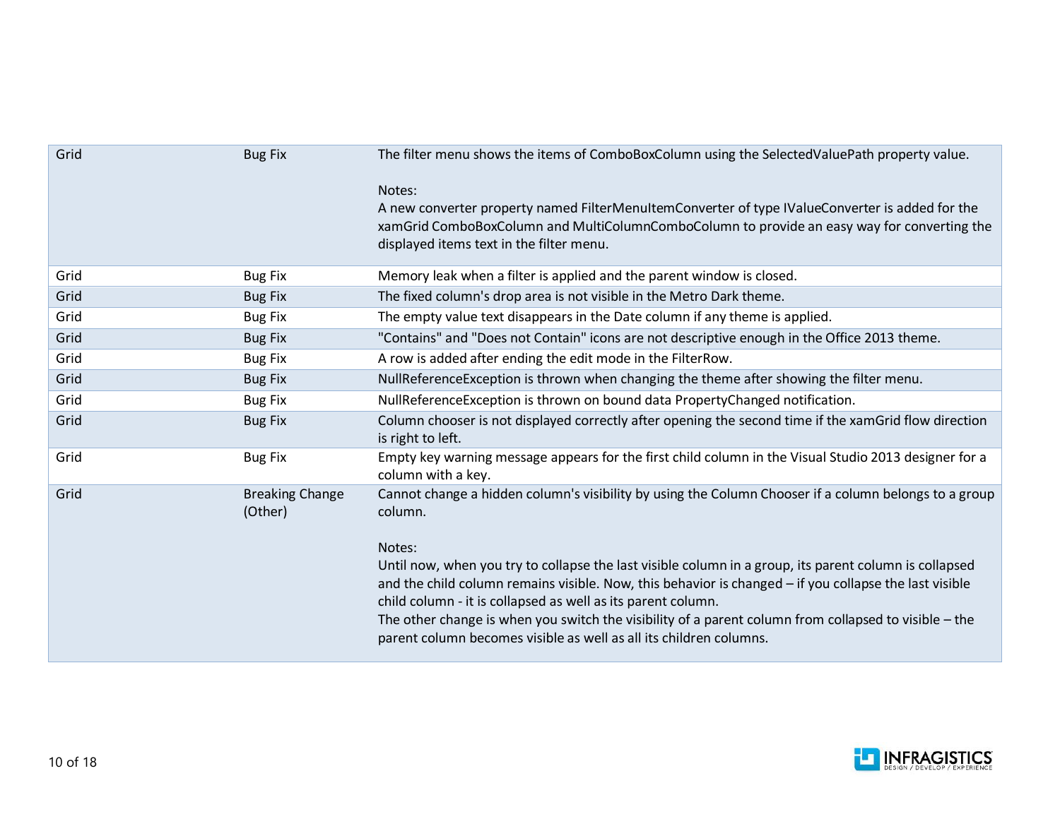| Grid | <b>Bug Fix</b>                    | The filter menu shows the items of ComboBoxColumn using the SelectedValuePath property value.                                                                                                                                                                                                                                                                                                                                                                             |
|------|-----------------------------------|---------------------------------------------------------------------------------------------------------------------------------------------------------------------------------------------------------------------------------------------------------------------------------------------------------------------------------------------------------------------------------------------------------------------------------------------------------------------------|
|      |                                   | Notes:<br>A new converter property named FilterMenuItemConverter of type IValueConverter is added for the<br>xamGrid ComboBoxColumn and MultiColumnComboColumn to provide an easy way for converting the<br>displayed items text in the filter menu.                                                                                                                                                                                                                      |
| Grid | <b>Bug Fix</b>                    | Memory leak when a filter is applied and the parent window is closed.                                                                                                                                                                                                                                                                                                                                                                                                     |
| Grid | <b>Bug Fix</b>                    | The fixed column's drop area is not visible in the Metro Dark theme.                                                                                                                                                                                                                                                                                                                                                                                                      |
| Grid | <b>Bug Fix</b>                    | The empty value text disappears in the Date column if any theme is applied.                                                                                                                                                                                                                                                                                                                                                                                               |
| Grid | <b>Bug Fix</b>                    | "Contains" and "Does not Contain" icons are not descriptive enough in the Office 2013 theme.                                                                                                                                                                                                                                                                                                                                                                              |
| Grid | <b>Bug Fix</b>                    | A row is added after ending the edit mode in the FilterRow.                                                                                                                                                                                                                                                                                                                                                                                                               |
| Grid | <b>Bug Fix</b>                    | NullReferenceException is thrown when changing the theme after showing the filter menu.                                                                                                                                                                                                                                                                                                                                                                                   |
| Grid | <b>Bug Fix</b>                    | NullReferenceException is thrown on bound data PropertyChanged notification.                                                                                                                                                                                                                                                                                                                                                                                              |
| Grid | <b>Bug Fix</b>                    | Column chooser is not displayed correctly after opening the second time if the xamGrid flow direction<br>is right to left.                                                                                                                                                                                                                                                                                                                                                |
| Grid | <b>Bug Fix</b>                    | Empty key warning message appears for the first child column in the Visual Studio 2013 designer for a<br>column with a key.                                                                                                                                                                                                                                                                                                                                               |
| Grid | <b>Breaking Change</b><br>(Other) | Cannot change a hidden column's visibility by using the Column Chooser if a column belongs to a group<br>column.                                                                                                                                                                                                                                                                                                                                                          |
|      |                                   | Notes:<br>Until now, when you try to collapse the last visible column in a group, its parent column is collapsed<br>and the child column remains visible. Now, this behavior is changed - if you collapse the last visible<br>child column - it is collapsed as well as its parent column.<br>The other change is when you switch the visibility of a parent column from collapsed to visible - the<br>parent column becomes visible as well as all its children columns. |

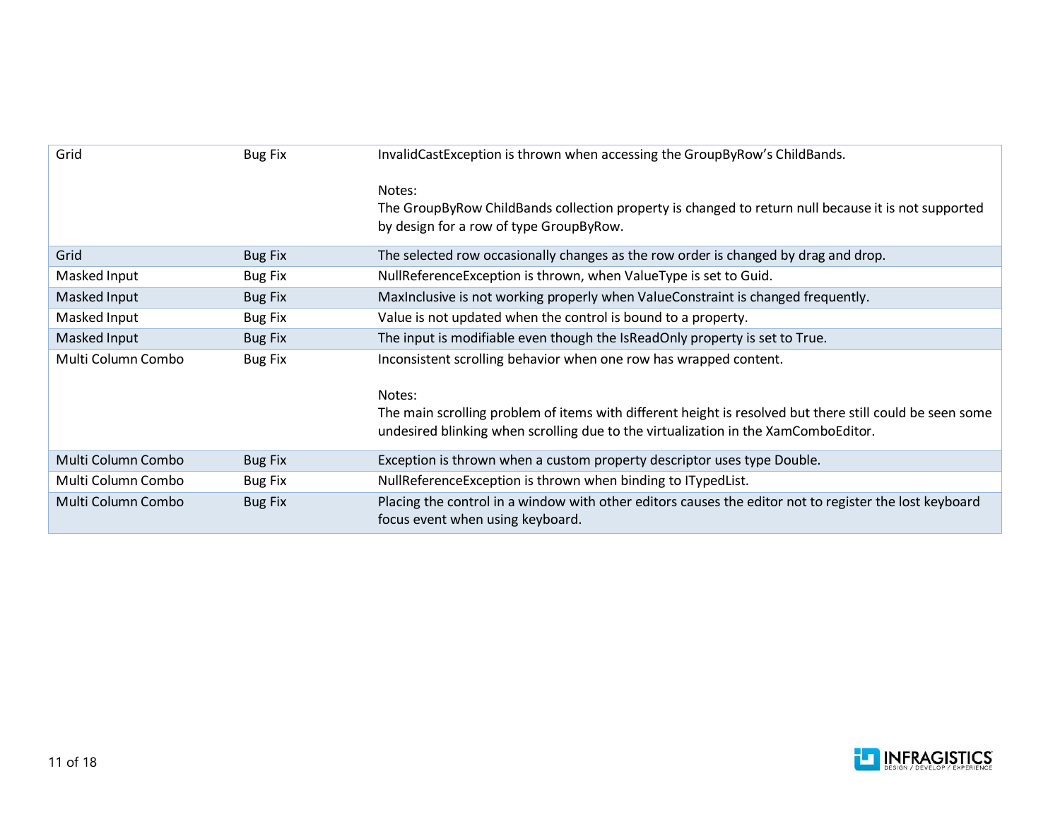| Grid               | <b>Bug Fix</b> | InvalidCastException is thrown when accessing the GroupByRow's ChildBands.                                                                                                                               |
|--------------------|----------------|----------------------------------------------------------------------------------------------------------------------------------------------------------------------------------------------------------|
|                    |                | Notes:<br>The GroupByRow ChildBands collection property is changed to return null because it is not supported<br>by design for a row of type GroupByRow.                                                 |
| Grid               | <b>Bug Fix</b> | The selected row occasionally changes as the row order is changed by drag and drop.                                                                                                                      |
| Masked Input       | <b>Bug Fix</b> | NullReferenceException is thrown, when ValueType is set to Guid.                                                                                                                                         |
| Masked Input       | <b>Bug Fix</b> | Maxinclusive is not working properly when ValueConstraint is changed frequently.                                                                                                                         |
| Masked Input       | <b>Bug Fix</b> | Value is not updated when the control is bound to a property.                                                                                                                                            |
| Masked Input       | <b>Bug Fix</b> | The input is modifiable even though the IsReadOnly property is set to True.                                                                                                                              |
| Multi Column Combo | <b>Bug Fix</b> | Inconsistent scrolling behavior when one row has wrapped content.                                                                                                                                        |
|                    |                | Notes:<br>The main scrolling problem of items with different height is resolved but there still could be seen some<br>undesired blinking when scrolling due to the virtualization in the XamComboEditor. |
| Multi Column Combo | <b>Bug Fix</b> | Exception is thrown when a custom property descriptor uses type Double.                                                                                                                                  |
| Multi Column Combo | <b>Bug Fix</b> | NullReferenceException is thrown when binding to ITypedList.                                                                                                                                             |
| Multi Column Combo | <b>Bug Fix</b> | Placing the control in a window with other editors causes the editor not to register the lost keyboard<br>focus event when using keyboard.                                                               |

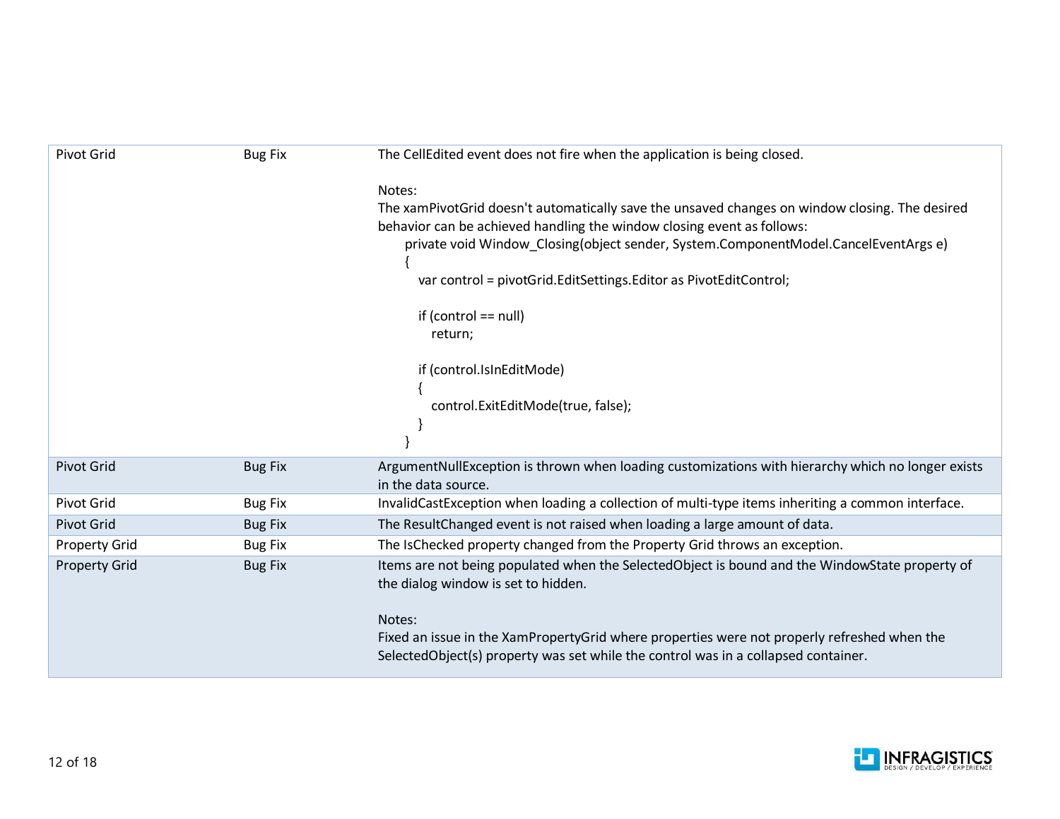| <b>Pivot Grid</b>    | <b>Bug Fix</b> | The CellEdited event does not fire when the application is being closed.                                                                                                                                                                                                                                                                                                                                                                              |
|----------------------|----------------|-------------------------------------------------------------------------------------------------------------------------------------------------------------------------------------------------------------------------------------------------------------------------------------------------------------------------------------------------------------------------------------------------------------------------------------------------------|
|                      |                | Notes:<br>The xamPivotGrid doesn't automatically save the unsaved changes on window closing. The desired<br>behavior can be achieved handling the window closing event as follows:<br>private void Window_Closing(object sender, System.ComponentModel.CancelEventArgs e)<br>var control = pivotGrid.EditSettings.Editor as PivotEditControl;<br>if (control $==$ null)<br>return;<br>if (control.IsInEditMode)<br>control.ExitEditMode(true, false); |
| <b>Pivot Grid</b>    | <b>Bug Fix</b> | ArgumentNullException is thrown when loading customizations with hierarchy which no longer exists<br>in the data source.                                                                                                                                                                                                                                                                                                                              |
| <b>Pivot Grid</b>    | <b>Bug Fix</b> | InvalidCastException when loading a collection of multi-type items inheriting a common interface.                                                                                                                                                                                                                                                                                                                                                     |
| <b>Pivot Grid</b>    | <b>Bug Fix</b> | The Result Changed event is not raised when loading a large amount of data.                                                                                                                                                                                                                                                                                                                                                                           |
| <b>Property Grid</b> | <b>Bug Fix</b> | The IsChecked property changed from the Property Grid throws an exception.                                                                                                                                                                                                                                                                                                                                                                            |
| <b>Property Grid</b> | <b>Bug Fix</b> | Items are not being populated when the SelectedObject is bound and the WindowState property of<br>the dialog window is set to hidden.                                                                                                                                                                                                                                                                                                                 |
|                      |                | Notes:<br>Fixed an issue in the XamPropertyGrid where properties were not properly refreshed when the<br>SelectedObject(s) property was set while the control was in a collapsed container.                                                                                                                                                                                                                                                           |

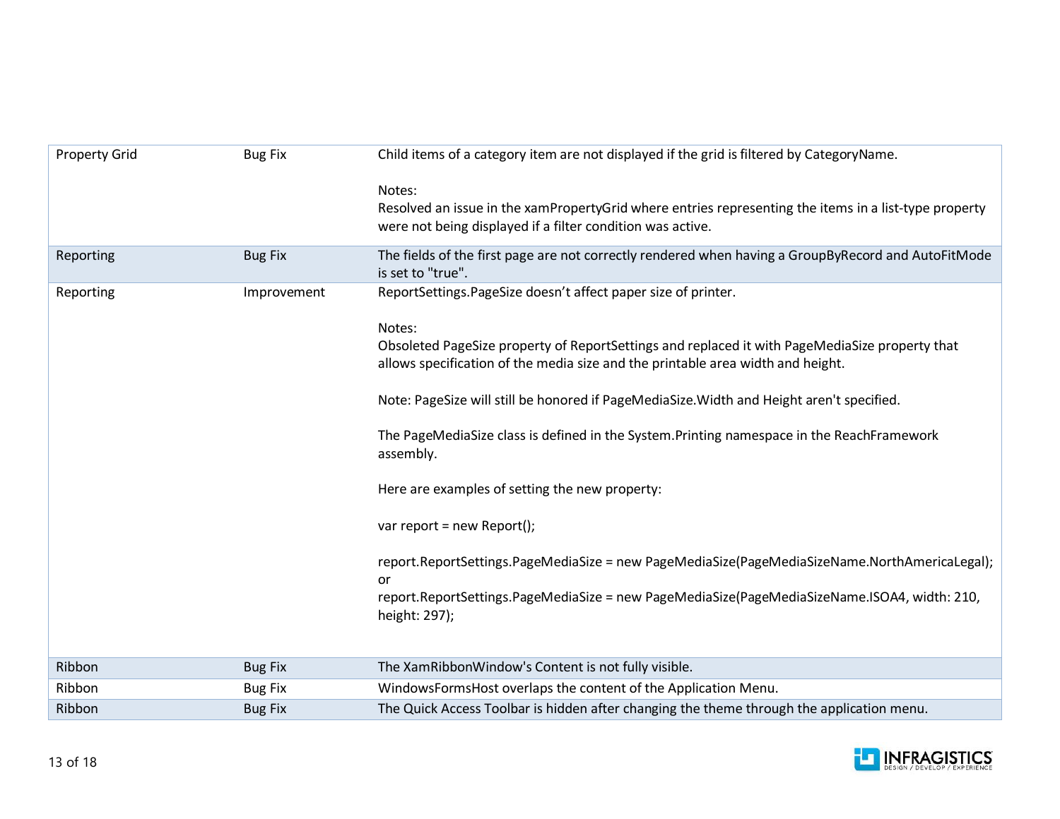| <b>Property Grid</b> | <b>Bug Fix</b> | Child items of a category item are not displayed if the grid is filtered by CategoryName.                                                                                     |
|----------------------|----------------|-------------------------------------------------------------------------------------------------------------------------------------------------------------------------------|
|                      |                | Notes:<br>Resolved an issue in the xamPropertyGrid where entries representing the items in a list-type property<br>were not being displayed if a filter condition was active. |
| Reporting            | <b>Bug Fix</b> | The fields of the first page are not correctly rendered when having a GroupByRecord and AutoFitMode<br>is set to "true".                                                      |
| Reporting            | Improvement    | ReportSettings.PageSize doesn't affect paper size of printer.                                                                                                                 |
|                      |                | Notes:<br>Obsoleted PageSize property of ReportSettings and replaced it with PageMediaSize property that                                                                      |
|                      |                | allows specification of the media size and the printable area width and height.                                                                                               |
|                      |                | Note: PageSize will still be honored if PageMediaSize. Width and Height aren't specified.                                                                                     |
|                      |                | The PageMediaSize class is defined in the System.Printing namespace in the ReachFramework<br>assembly.                                                                        |
|                      |                | Here are examples of setting the new property:                                                                                                                                |
|                      |                | var report = new Report();                                                                                                                                                    |
|                      |                | report.ReportSettings.PageMediaSize = new PageMediaSize(PageMediaSizeName.NorthAmericaLegal);<br>or                                                                           |
|                      |                | report.ReportSettings.PageMediaSize = new PageMediaSize(PageMediaSizeName.ISOA4, width: 210,<br>height: 297);                                                                 |
|                      |                |                                                                                                                                                                               |
| Ribbon               | <b>Bug Fix</b> | The XamRibbonWindow's Content is not fully visible.                                                                                                                           |
| Ribbon               | <b>Bug Fix</b> | WindowsFormsHost overlaps the content of the Application Menu.                                                                                                                |
| Ribbon               | <b>Bug Fix</b> | The Quick Access Toolbar is hidden after changing the theme through the application menu.                                                                                     |

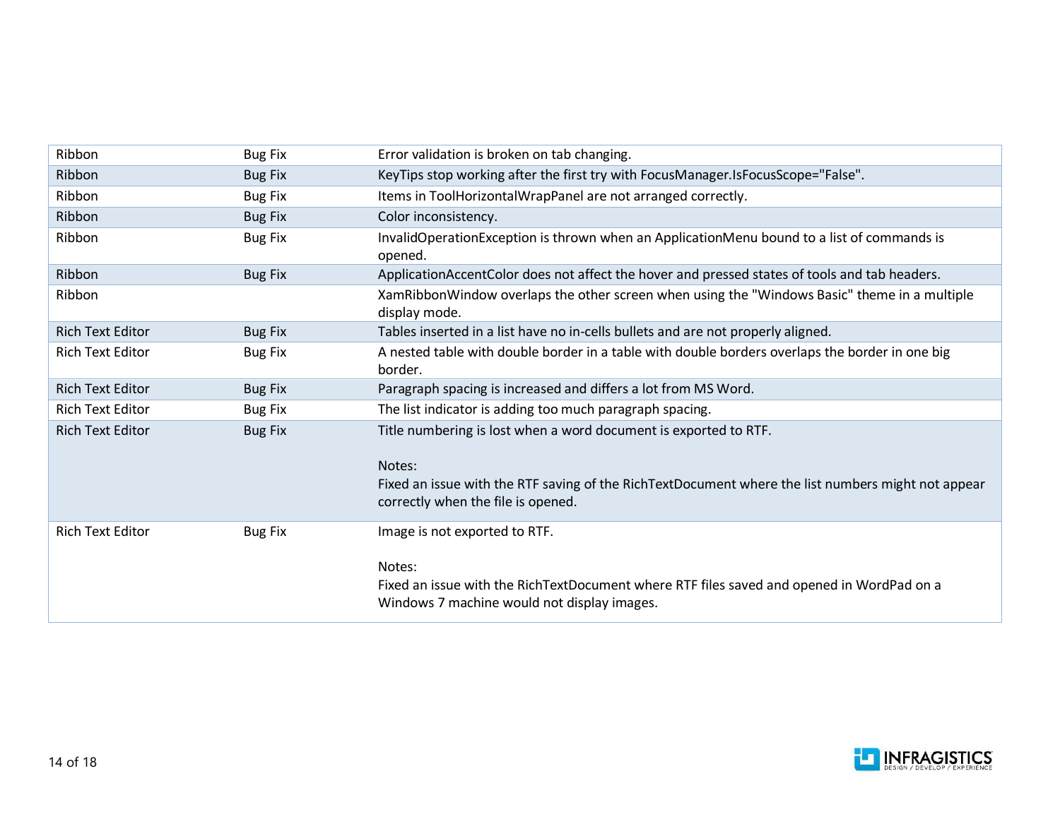| Ribbon                  | <b>Bug Fix</b> | Error validation is broken on tab changing.                                                                                                                                                                            |
|-------------------------|----------------|------------------------------------------------------------------------------------------------------------------------------------------------------------------------------------------------------------------------|
| Ribbon                  | <b>Bug Fix</b> | KeyTips stop working after the first try with FocusManager.IsFocusScope="False".                                                                                                                                       |
| Ribbon                  | <b>Bug Fix</b> | Items in ToolHorizontalWrapPanel are not arranged correctly.                                                                                                                                                           |
| Ribbon                  | <b>Bug Fix</b> | Color inconsistency.                                                                                                                                                                                                   |
| Ribbon                  | <b>Bug Fix</b> | InvalidOperationException is thrown when an ApplicationMenu bound to a list of commands is<br>opened.                                                                                                                  |
| Ribbon                  | <b>Bug Fix</b> | ApplicationAccentColor does not affect the hover and pressed states of tools and tab headers.                                                                                                                          |
| Ribbon                  |                | XamRibbonWindow overlaps the other screen when using the "Windows Basic" theme in a multiple<br>display mode.                                                                                                          |
| <b>Rich Text Editor</b> | <b>Bug Fix</b> | Tables inserted in a list have no in-cells bullets and are not properly aligned.                                                                                                                                       |
| <b>Rich Text Editor</b> | <b>Bug Fix</b> | A nested table with double border in a table with double borders overlaps the border in one big<br>border.                                                                                                             |
| <b>Rich Text Editor</b> | <b>Bug Fix</b> | Paragraph spacing is increased and differs a lot from MS Word.                                                                                                                                                         |
| <b>Rich Text Editor</b> | <b>Bug Fix</b> | The list indicator is adding too much paragraph spacing.                                                                                                                                                               |
| <b>Rich Text Editor</b> | <b>Bug Fix</b> | Title numbering is lost when a word document is exported to RTF.<br>Notes:<br>Fixed an issue with the RTF saving of the RichTextDocument where the list numbers might not appear<br>correctly when the file is opened. |
| <b>Rich Text Editor</b> | <b>Bug Fix</b> | Image is not exported to RTF.<br>Notes:<br>Fixed an issue with the RichTextDocument where RTF files saved and opened in WordPad on a<br>Windows 7 machine would not display images.                                    |

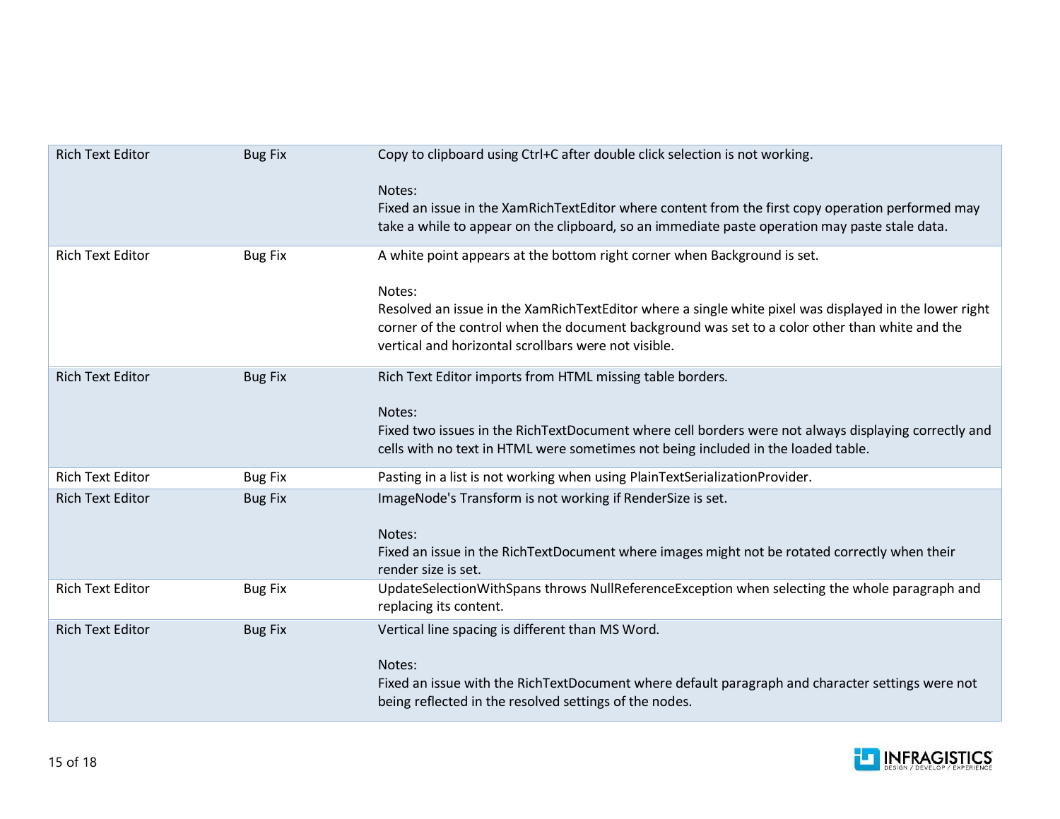| <b>Rich Text Editor</b> | <b>Bug Fix</b> | Copy to clipboard using Ctrl+C after double click selection is not working.                                                                                                                                                                                                                                                                            |
|-------------------------|----------------|--------------------------------------------------------------------------------------------------------------------------------------------------------------------------------------------------------------------------------------------------------------------------------------------------------------------------------------------------------|
|                         |                | Notes:<br>Fixed an issue in the XamRichTextEditor where content from the first copy operation performed may<br>take a while to appear on the clipboard, so an immediate paste operation may paste stale data.                                                                                                                                          |
| <b>Rich Text Editor</b> | <b>Bug Fix</b> | A white point appears at the bottom right corner when Background is set.<br>Notes:<br>Resolved an issue in the XamRichTextEditor where a single white pixel was displayed in the lower right<br>corner of the control when the document background was set to a color other than white and the<br>vertical and horizontal scrollbars were not visible. |
| <b>Rich Text Editor</b> | <b>Bug Fix</b> | Rich Text Editor imports from HTML missing table borders.<br>Notes:<br>Fixed two issues in the RichTextDocument where cell borders were not always displaying correctly and<br>cells with no text in HTML were sometimes not being included in the loaded table.                                                                                       |
| <b>Rich Text Editor</b> | <b>Bug Fix</b> | Pasting in a list is not working when using PlainTextSerializationProvider.                                                                                                                                                                                                                                                                            |
| <b>Rich Text Editor</b> | <b>Bug Fix</b> | ImageNode's Transform is not working if RenderSize is set.<br>Notes:<br>Fixed an issue in the RichTextDocument where images might not be rotated correctly when their<br>render size is set.                                                                                                                                                           |
| <b>Rich Text Editor</b> | <b>Bug Fix</b> | UpdateSelectionWithSpans throws NullReferenceException when selecting the whole paragraph and<br>replacing its content.                                                                                                                                                                                                                                |
| <b>Rich Text Editor</b> | <b>Bug Fix</b> | Vertical line spacing is different than MS Word.<br>Notes:<br>Fixed an issue with the RichTextDocument where default paragraph and character settings were not<br>being reflected in the resolved settings of the nodes.                                                                                                                               |

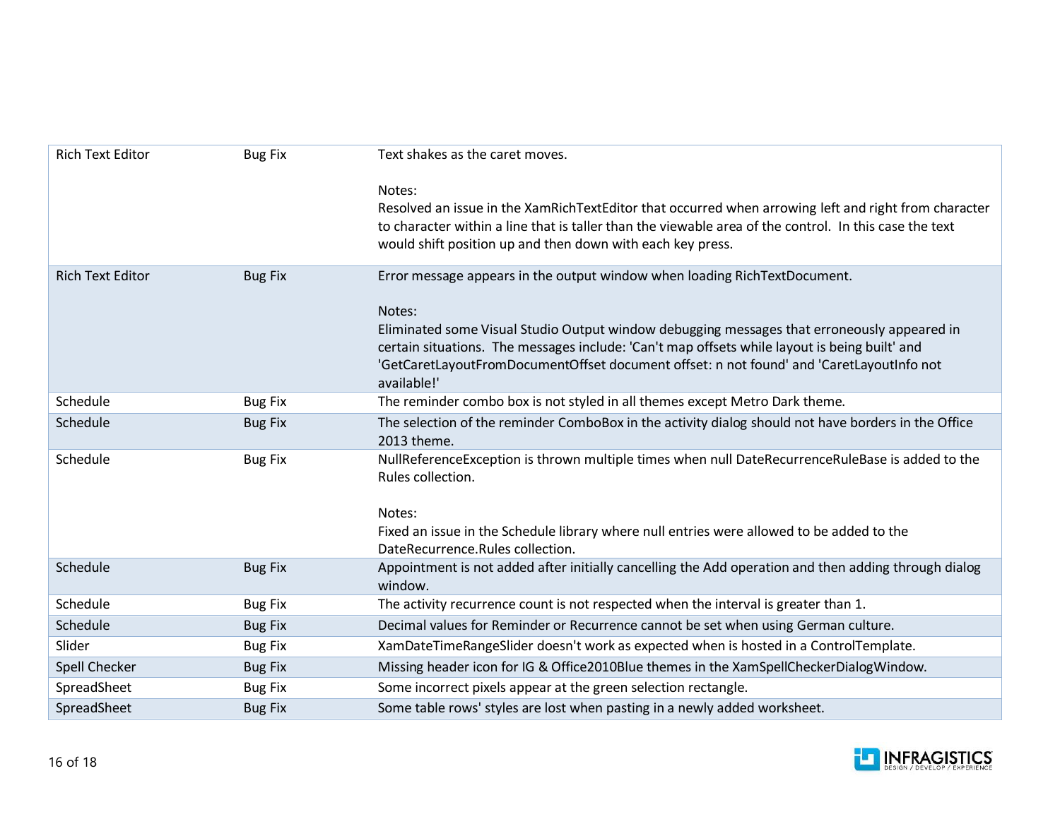| <b>Rich Text Editor</b> | <b>Bug Fix</b> | Text shakes as the caret moves.                                                                                                                                                                                                                                                                                   |
|-------------------------|----------------|-------------------------------------------------------------------------------------------------------------------------------------------------------------------------------------------------------------------------------------------------------------------------------------------------------------------|
|                         |                | Notes:<br>Resolved an issue in the XamRichTextEditor that occurred when arrowing left and right from character<br>to character within a line that is taller than the viewable area of the control. In this case the text<br>would shift position up and then down with each key press.                            |
| <b>Rich Text Editor</b> | <b>Bug Fix</b> | Error message appears in the output window when loading RichTextDocument.                                                                                                                                                                                                                                         |
|                         |                | Notes:<br>Eliminated some Visual Studio Output window debugging messages that erroneously appeared in<br>certain situations. The messages include: 'Can't map offsets while layout is being built' and<br>'GetCaretLayoutFromDocumentOffset document offset: n not found' and 'CaretLayoutInfo not<br>available!' |
| Schedule                | <b>Bug Fix</b> | The reminder combo box is not styled in all themes except Metro Dark theme.                                                                                                                                                                                                                                       |
| Schedule                | <b>Bug Fix</b> | The selection of the reminder ComboBox in the activity dialog should not have borders in the Office<br>2013 theme.                                                                                                                                                                                                |
| Schedule                | <b>Bug Fix</b> | NullReferenceException is thrown multiple times when null DateRecurrenceRuleBase is added to the<br>Rules collection.<br>Notes:<br>Fixed an issue in the Schedule library where null entries were allowed to be added to the<br>DateRecurrence.Rules collection.                                                  |
| Schedule                | <b>Bug Fix</b> | Appointment is not added after initially cancelling the Add operation and then adding through dialog<br>window.                                                                                                                                                                                                   |
| Schedule                | <b>Bug Fix</b> | The activity recurrence count is not respected when the interval is greater than 1.                                                                                                                                                                                                                               |
| Schedule                | <b>Bug Fix</b> | Decimal values for Reminder or Recurrence cannot be set when using German culture.                                                                                                                                                                                                                                |
| Slider                  | <b>Bug Fix</b> | XamDateTimeRangeSlider doesn't work as expected when is hosted in a ControlTemplate.                                                                                                                                                                                                                              |
| Spell Checker           | <b>Bug Fix</b> | Missing header icon for IG & Office2010Blue themes in the XamSpellCheckerDialogWindow.                                                                                                                                                                                                                            |
| SpreadSheet             | <b>Bug Fix</b> | Some incorrect pixels appear at the green selection rectangle.                                                                                                                                                                                                                                                    |
| SpreadSheet             | <b>Bug Fix</b> | Some table rows' styles are lost when pasting in a newly added worksheet.                                                                                                                                                                                                                                         |

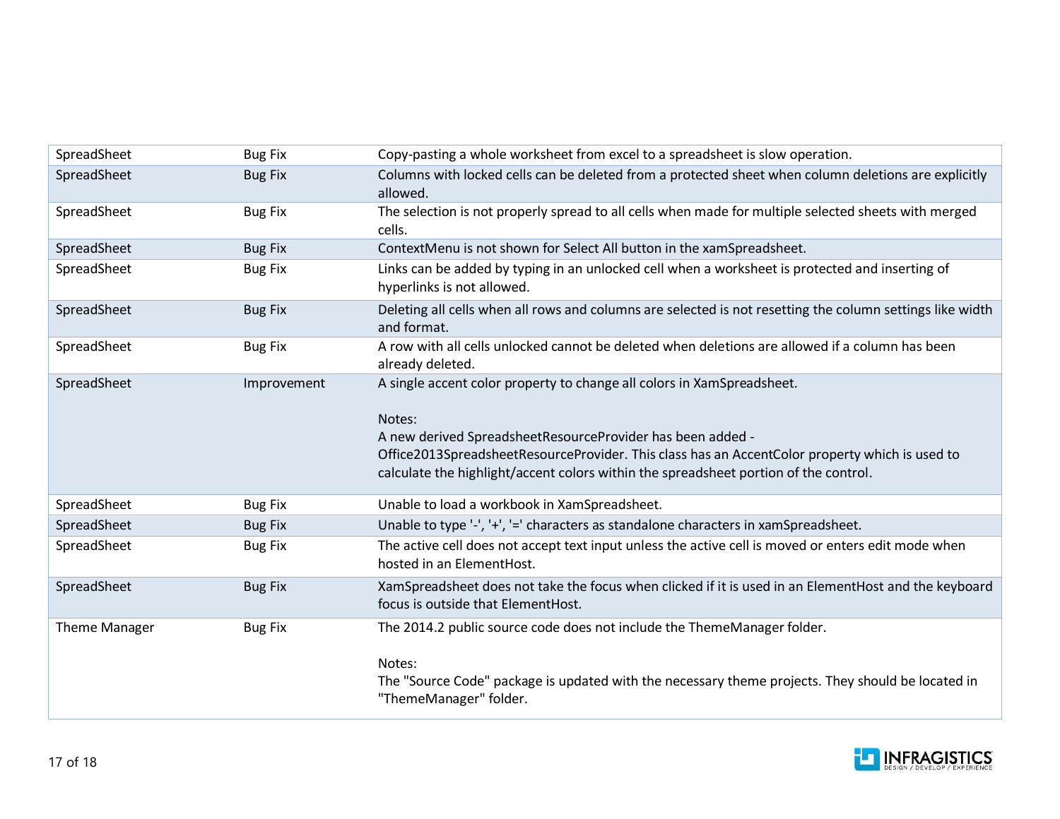| SpreadSheet   | <b>Bug Fix</b> | Copy-pasting a whole worksheet from excel to a spreadsheet is slow operation.                                                                                                                                                                        |
|---------------|----------------|------------------------------------------------------------------------------------------------------------------------------------------------------------------------------------------------------------------------------------------------------|
| SpreadSheet   | <b>Bug Fix</b> | Columns with locked cells can be deleted from a protected sheet when column deletions are explicitly<br>allowed.                                                                                                                                     |
| SpreadSheet   | <b>Bug Fix</b> | The selection is not properly spread to all cells when made for multiple selected sheets with merged<br>cells.                                                                                                                                       |
| SpreadSheet   | <b>Bug Fix</b> | ContextMenu is not shown for Select All button in the xamSpreadsheet.                                                                                                                                                                                |
| SpreadSheet   | <b>Bug Fix</b> | Links can be added by typing in an unlocked cell when a worksheet is protected and inserting of<br>hyperlinks is not allowed.                                                                                                                        |
| SpreadSheet   | <b>Bug Fix</b> | Deleting all cells when all rows and columns are selected is not resetting the column settings like width<br>and format.                                                                                                                             |
| SpreadSheet   | <b>Bug Fix</b> | A row with all cells unlocked cannot be deleted when deletions are allowed if a column has been<br>already deleted.                                                                                                                                  |
| SpreadSheet   | Improvement    | A single accent color property to change all colors in XamSpreadsheet.<br>Notes:                                                                                                                                                                     |
|               |                | A new derived SpreadsheetResourceProvider has been added -<br>Office2013SpreadsheetResourceProvider. This class has an AccentColor property which is used to<br>calculate the highlight/accent colors within the spreadsheet portion of the control. |
| SpreadSheet   | <b>Bug Fix</b> | Unable to load a workbook in XamSpreadsheet.                                                                                                                                                                                                         |
| SpreadSheet   | <b>Bug Fix</b> | Unable to type '-', '+', '=' characters as standalone characters in xamSpreadsheet.                                                                                                                                                                  |
| SpreadSheet   | <b>Bug Fix</b> | The active cell does not accept text input unless the active cell is moved or enters edit mode when<br>hosted in an ElementHost.                                                                                                                     |
| SpreadSheet   | <b>Bug Fix</b> | XamSpreadsheet does not take the focus when clicked if it is used in an ElementHost and the keyboard<br>focus is outside that ElementHost.                                                                                                           |
| Theme Manager | <b>Bug Fix</b> | The 2014.2 public source code does not include the ThemeManager folder.<br>Notes:                                                                                                                                                                    |
|               |                | The "Source Code" package is updated with the necessary theme projects. They should be located in<br>"ThemeManager" folder.                                                                                                                          |